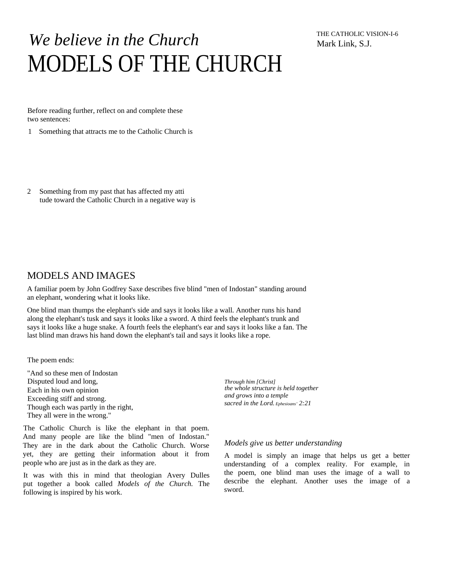# *We believe in the Church*  MODELS OF THE CHURCH

THE CATHOLIC VISION-I-6 Mark Link, S.J.

Before reading further, reflect on and complete these two sentences:

- 1 Something that attracts me to the Catholic Church is
- 2 Something from my past that has affected my atti tude toward the Catholic Church in a negative way is

# MODELS AND IMAGES

A familiar poem by John Godfrey Saxe describes five blind "men of Indostan" standing around an elephant, wondering what it looks like.

One blind man thumps the elephant's side and says it looks like a wall. Another runs his hand along the elephant's tusk and says it looks like a sword. A third feels the elephant's trunk and says it looks like a huge snake. A fourth feels the elephant's ear and says it looks like a fan. The last blind man draws his hand down the elephant's tail and says it looks like a rope.

The poem ends:

"And so these men of Indostan Disputed loud and long, *Through him [Christ]*  Each in his own opinion Exceeding stiff and strong. Though each was partly in the right, They all were in the wrong."

The Catholic Church is like the elephant in that poem. And many people are like the blind "men of Indostan." They are in the dark about the Catholic Church. Worse yet, they are getting their information about it from people who are just as in the dark as they are.

It was with this in mind that theologian Avery Dulles put together a book called *Models of the Church.* The following is inspired by his work.

*the whole structure is held together and grows into a temple sacred in the Lord. Ephesioans' 2:21* 

#### *Models give us better understanding*

A model is simply an image that helps us get a better understanding of a complex reality. For example, in the poem, one blind man uses the image of a wall to describe the elephant. Another uses the image of a sword.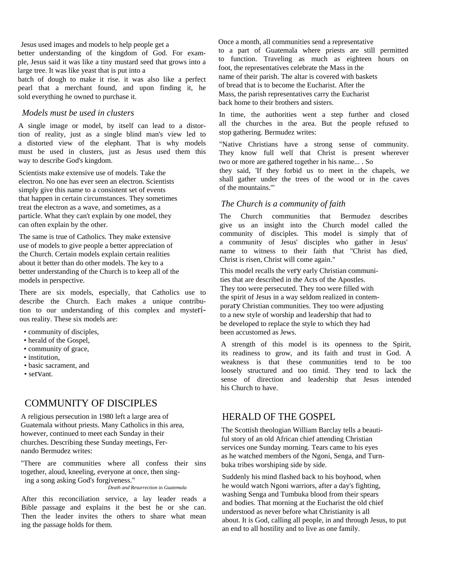Jesus used images and models to help people get a

better understanding of the kingdom of God. For example, Jesus said it was like a tiny mustard seed that grows into a large tree. It was like yeast that is put into a

batch of dough to make it rise. it was also like a perfect pearl that a merchant found, and upon finding it, he sold everything he owned to purchase it.

## *Models must be used in clusters*

A single image or model, by itself can lead to a distortion of reality, just as a single blind man's view led to a distorted view of the elephant. That is why models must be used in clusters, just as Jesus used them this way to describe God's kingdom.

Scientists make extensive use of models. Take the electron. No one has ever seen an electron. Scientists simply give this name to a consistent set of events that happen in certain circumstances. They sometimes treat the electron as a wave, and sometimes, as a particle. What they can't explain by one model, they can often explain by the other.

The same is true of Catholics. They make extensive use of models to give people a better appreciation of the Church. Certain models explain certain realities about it better than do other models. The key to a better understanding of the Church is to keep all of the models in perspective.

There are six models, especially, that Catholics use to describe the Church. Each makes a unique contribution to our understanding of this complex and mysterious reality. These six models are:

- community of disciples,
- herald of the Gospel,
- community of grace,
- institution.
- basic sacrament, and
- servant.

# COMMUNITY OF DISCIPLES

A religious persecution in 1980 left a large area of Guatemala without priests. Many Catholics in this area, however, continued to meet each Sunday in their churches. Describing these Sunday meetings, Fernando Bermudez writes:

"There are communities where all confess their sins together, aloud, kneeling, everyone at once, then sing-

ing a song asking God's forgiveness."

*Death and Resurrection* in *Guatemala* 

After this reconciliation service, a lay leader reads a Bible passage and explains it the best he or she can. Then the leader invites the others to share what mean ing the passage holds for them.

Once a month, all communities send a representative to a part of Guatemala where priests are still permitted to function. Traveling as much as eighteen hours on foot, the representatives celebrate the Mass in the name of their parish. The altar is covered with baskets of bread that is to become the Eucharist. After the Mass, the parish representatives carry the Eucharist back home to their brothers and sisters.

In time, the authorities went a step further and closed all the churches in the area. But the people refused to stop gathering. Bermudez writes:

"Native Christians have a strong sense of community. They know full well that Christ is present wherever two or more are gathered together in his name... . So

they said, 'If they forbid us to meet in the chapels, we shall gather under the trees of the wood or in the caves of the mountains.'"

## *The Church is a community of faith*

The Church communities that Bermudez describes give us an insight into the Church model called the community of disciples. This model is simply that of a community of Jesus' disciples who gather in Jesus' name to witness to their faith that "Christ has died, Christ is risen, Christ will come again."

This model recalls the very early Christian communities that are described in the Acts of the Apostles. They too were persecuted. They too were filled with the spirit of Jesus in a way seldom realized in contemporary Christian communities. They too were adjusting to a new style of worship and leadership that had to be developed to replace the style to which they had been accustomed as Jews.

A strength of this model is its openness to the Spirit, its readiness to grow, and its faith and trust in God. A weakness is that these communities tend to be too loosely structured and too timid. They tend to lack the sense of direction and leadership that Jesus intended his Church to have.

# HERALD OF THE GOSPEL

The Scottish theologian William Barclay tells a beautiful story of an old African chief attending Christian services one Sunday morning. Tears came to his eyes as he watched members of the Ngoni, Senga, and Turnbuka tribes worshiping side by side.

Suddenly his mind flashed back to his boyhood, when he would watch Ngoni warriors, after a day's fighting, washing Senga and Tumbuka blood from their spears and bodies. That morning at the Eucharist the old chief understood as never before what Christianity is all about. It is God, calling all people, in and through Jesus, to put an end to all hostility and to live as one family.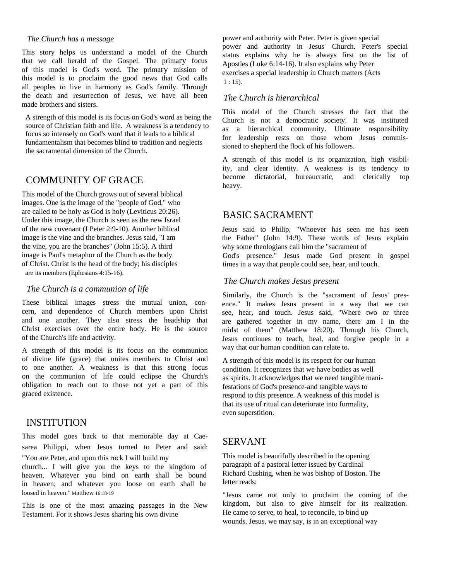#### *The Church has a message*

This story helps us understand a model of the Church that we call herald of the Gospel. The primary focus of this model is God's word. The primary mission of this model is to proclaim the good news that God calls all peoples to live in harmony as God's family. Through the death and resurrection of Jesus, we have all been made brothers and sisters.

A strength of this model is its focus on God's word as being the source of Christian faith and life. A weakness is a tendency to focus so intensely on God's word that it leads to a biblical fundamentalism that becomes blind to tradition and neglects the sacramental dimension of the Church.

# COMMUNITY OF GRACE

This model of the Church grows out of several biblical images. One is the image of the "people of God," who are called to be holy as God is holy (Leviticus 20:26). Under this image, the Church is seen as the new Israel of the new covenant (I Peter 2:9-10). Another biblical image is the vine and the branches. Jesus said, "I am the vine, you are the branches" (John 15:5). A third image is Paul's metaphor of the Church as the body of Christ. Christ is the head of the body; his disciples are its members (Ephesians 4:15-16).

#### *The Church is a communion of life*

These biblical images stress the mutual union, concern, and dependence of Church members upon Christ and one another. They also stress the headship that Christ exercises over the entire body. He is the source of the Church's life and activity.

A strength of this model is its focus on the communion of divine life (grace) that unites members to Christ and to one another. A weakness is that this strong focus on the communion of life could eclipse the Church's obligation to reach out to those not yet a part of this graced existence.

## INSTITUTION

This model goes back to that memorable day at Caesarea Philippi, when Jesus turned to Peter and said: "You are Peter, and upon this rock I will build my

church... I will give you the keys to the kingdom of heaven. Whatever you bind on earth shall be bound in heaven; and whatever you loose on earth shall be loosed in heaven." Matthew 16:18-19

This is one of the most amazing passages in the New Testament. For it shows Jesus sharing his own divine

power and authority with Peter. Peter is given special power and authority in Jesus' Church. Peter's special status explains why he is always first on the list of Apostles (Luke 6:14-16). It also explains why Peter exercises a special leadership in Church matters (Acts  $1:15$ ).

## *The Church is hierarchical*

This model of the Church stresses the fact that the Church is not a democratic society. It was instituted as a hierarchical community. Ultimate responsibility for leadership rests on those whom Jesus commissioned to shepherd the flock of his followers.

A strength of this model is its organization, high visibility, and clear identity. A weakness is its tendency to become dictatorial, bureaucratic, and clerically top heavy.

# BASIC SACRAMENT

Jesus said to Philip, "Whoever has seen me has seen the Father" (John 14:9). These words of Jesus explain why some theologians call him the "sacrament of

God's presence." Jesus made God present in gospel times in a way that people could see, hear, and touch.

## *The Church makes Jesus present*

Similarly, the Church is the "sacrament of Jesus' presence." It makes Jesus present in a way that we can see, hear, and touch. Jesus said, "Where two or three are gathered together in my name, there am I in the midst of them" (Matthew 18:20). Through his Church, Jesus continues to teach, heal, and forgive people in a way that our human condition can relate to.

A strength of this model is its respect for our human condition. It recognizes that we have bodies as well as spirits. It acknowledges that we need tangible manifestations of God's presence-and tangible ways to respond to this presence. A weakness of this model is that its use of ritual can deteriorate into formality, even superstition.

## SERVANT

This model is beautifully described in the opening paragraph of a pastoral letter issued by Cardinal Richard Cushing, when he was bishop of Boston. The letter reads:

"Jesus came not only to proclaim the coming of the kingdom, but also to give himself for its realization. He came to serve, to heal, to reconcile, to bind up wounds. Jesus, we may say, is in an exceptional way